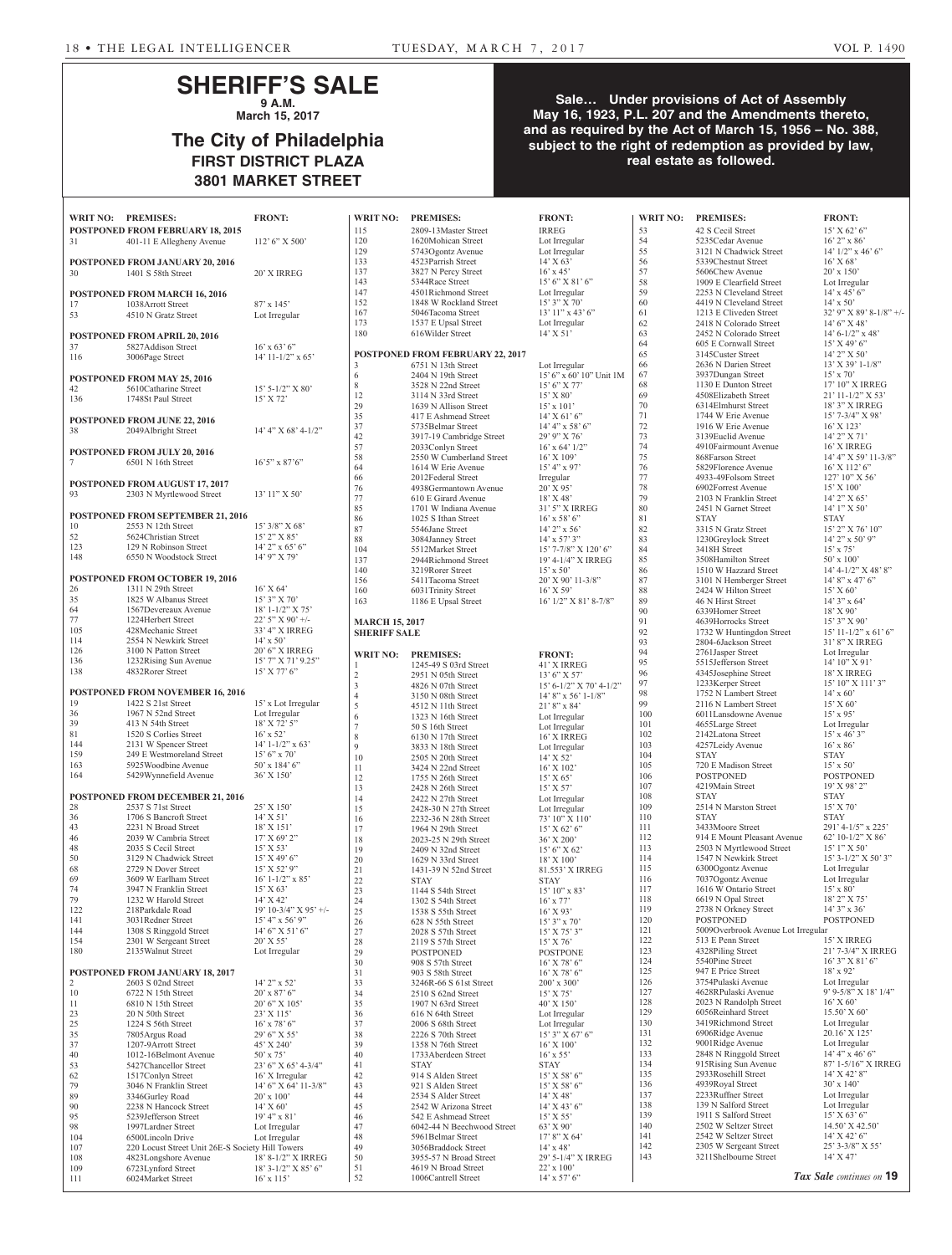## **SHERIFF'S SALE 9 A.M.**

**March 15, 2017**

## **The City of Philadelphia FIRST DISTRICT PLAZA 3801 MARKET STREET**

#### **Sale… Under provisions of Act of Assembly May 16, 1923, P.L. 207 and the Amendments thereto, and as required by the Act of March 15, 1956 – No. 388, subject to the right of redemption as provided by law, real estate as followed.**

|                      |                                                             |                                                  |                        |                                                 |                                     | <b>WRIT NO:</b> |
|----------------------|-------------------------------------------------------------|--------------------------------------------------|------------------------|-------------------------------------------------|-------------------------------------|-----------------|
| <b>WRIT NO:</b>      | <b>PREMISES:</b><br><b>POSTPONED FROM FEBRUARY 18, 2015</b> | <b>FRONT:</b>                                    | <b>WRIT NO:</b><br>115 | <b>PREMISES:</b><br>2809-13Master Street        | <b>FRONT:</b><br><b>IRREG</b>       | 53              |
| 31                   | 401-11 E Allegheny Avenue                                   | $112'$ 6" X 500"                                 | 120                    | 1620Mohican Street                              | Lot Irregular                       | 54              |
|                      |                                                             |                                                  | 129                    | 5743Ogontz Avenue                               | Lot Irregular                       | 55              |
|                      | POSTPONED FROM JANUARY 20, 2016                             |                                                  | 133                    | 4523Parrish Street                              | $14'$ X 63'                         | 56              |
| 30                   | 1401 S 58th Street                                          | 20' X IRREG                                      | 137<br>143             | 3827 N Percy Street<br>5344Race Street          | $16'$ x 45'<br>$15'6''$ X 81'6"     | 57<br>58        |
|                      | POSTPONED FROM MARCH 16, 2016                               |                                                  | 147                    | 4501Richmond Street                             | Lot Irregular                       | 59              |
| 17                   | 1038Arrott Street                                           | $87' \times 145'$                                | 152                    | 1848 W Rockland Street                          | $15'3''$ X 70'                      | 60              |
| 53                   | 4510 N Gratz Street                                         | Lot Irregular                                    | 167                    | 5046Tacoma Street                               | $13'11''$ x $43'6''$                | 61              |
|                      |                                                             |                                                  | 173<br>180             | 1537 E Upsal Street<br>616Wilder Street         | Lot Irregular<br>$14'$ X 51'        | 62<br>63        |
|                      | POSTPONED FROM APRIL 20, 2016<br>5827Addison Street         |                                                  |                        |                                                 |                                     | 64              |
| 37<br>116            | 3006Page Street                                             | $16'$ x 63' 6"<br>$14'$ 11-1/2" x 65'            |                        | POSTPONED FROM FEBRUARY 22, 2017                |                                     | 65              |
|                      |                                                             |                                                  | 3                      | 6751 N 13th Street                              | Lot Irregular                       | 66              |
|                      | POSTPONED FROM MAY 25, 2016                                 |                                                  | 6                      | $2404$ N 19th Street                            | 15' 6" x 60' 10" Unit 1M            | 67              |
| 42                   | 5610Catharine Street                                        | $15'$ 5-1/2" X 80"                               | 8<br>12                | 3528 N 22nd Street<br>3114 N 33rd Street        | $15'6''$ X 77'<br>$15'$ X 80'       | 68<br>69        |
| 136                  | 1748St Paul Street                                          | 15' X 72'                                        | 29                     | 1639 N Allison Street                           | $15'$ x $101'$                      | 70              |
|                      | <b>POSTPONED FROM JUNE 22, 2016</b>                         |                                                  | 35                     | 417 E Ashmead Street                            | $14'$ X 61' 6"                      | 71              |
| 38                   | 2049Albright Street                                         | $14'$ 4" X 68' 4-1/2"                            | 37                     | 5735Belmar Street                               | $14' 4''$ x 58' 6"                  | 72              |
|                      |                                                             |                                                  | 42<br>57               | 3917-19 Cambridge Street<br>2033Conlyn Street   | 29' 9" X 76'<br>$16'$ x 64' $1/2$ " | 73<br>74        |
|                      | POSTPONED FROM JULY 20, 2016                                |                                                  | 58                     | 2550 W Cumberland Street                        | $16'$ X $109'$                      | 75              |
| 7                    | 6501 N 16th Street                                          | $16'5''$ x 87'6"                                 | 64                     | 1614 W Erie Avenue                              | $15' 4''$ x 97'                     | 76              |
|                      | POSTPONED FROM AUGUST 17, 2017                              |                                                  | 66                     | 2012Federal Street                              | Irregular                           | 77              |
| 93                   | 2303 N Myrtlewood Street                                    | $13'11''$ X 50'                                  | 76<br>77               | 4938Germantown Avenue                           | $20'$ X 95'<br>18' X 48'            | 78<br>79        |
|                      |                                                             |                                                  | 85                     | 610 E Girard Avenue<br>1701 W Indiana Avenue    | 31' 5" X IRREG                      | 80              |
|                      | <b>POSTPONED FROM SEPTEMBER 21, 2016</b>                    |                                                  | 86                     | 1025 S Ithan Street                             | $16'$ x 58' 6"                      | 81              |
| 10                   | 2553 N 12th Street                                          | $15'3/8''$ X 68'                                 | 87                     | 5546Jane Street                                 | $14'$ 2" x 56'                      | 82              |
| 52                   | 5624Christian Street                                        | $15'$ 2" X 85'                                   | 88                     | 3084Janney Street                               | $14'$ x 57' 3"                      | 83              |
| 123<br>148           | 129 N Robinson Street<br>6550 N Woodstock Street            | $14'$ 2" x 65' 6"<br>$14'$ 9" X 79'              | 104                    | 5512Market Street                               | $15'$ 7-7/8" X 120' 6"              | 84              |
|                      |                                                             |                                                  | 137                    | 2944Richmond Street                             | 19' 4-1/4" X IRREG                  | 85              |
|                      | POSTPONED FROM OCTOBER 19, 2016                             |                                                  | 140<br>156             | 3219Rorer Street<br>5411Tacoma Street           | $15'$ x 50'<br>$20'$ X 90' 11-3/8"  | 86<br>87        |
| 26                   | 1311 N 29th Street                                          | $16'$ X 64'                                      | 160                    | 6031Trinity Street                              | $16'$ X 59'                         | 88              |
| 35                   | 1825 W Albanus Street                                       | 15' 3" X 70'                                     | 163                    | 1186 E Upsal Street                             | $16'$ $1/2$ " X $81'$ 8-7/8"        | 89              |
| 64                   | 1567Devereaux Avenue                                        | $18' 1 - 1/2'' X 75'$                            |                        |                                                 |                                     | 90              |
| 77<br>105            | 1224Herbert Street                                          | $22'5''$ X 90' +/-                               | <b>MARCH 15, 2017</b>  |                                                 |                                     | 91              |
| 114                  | 428Mechanic Street<br>2554 N Newkirk Street                 | 33' 4" X IRREG<br>$14'$ x 50'                    | <b>SHERIFF SALE</b>    |                                                 |                                     | 92<br>93        |
| 126                  | 3100 N Patton Street                                        | 20' 6" X IRREG                                   |                        |                                                 |                                     | 94              |
| 136                  | 1232Rising Sun Avenue                                       | $15'$ 7" X 71' 9.25"                             | <b>WRIT NO:</b><br>1   | <b>PREMISES:</b><br>1245-49 S 03rd Street       | <b>FRONT:</b><br>41' X IRREG        | 95              |
| 138                  | 4832Rorer Street                                            | $15'$ X 77' 6"                                   | $\mathfrak{2}$         | 2951 N 05th Street                              | $13'6''$ X 57'                      | 96              |
|                      |                                                             |                                                  | 3                      | 4826 N 07th Street                              | 15' 6-1/2" X 70' 4-1/2"             | 97              |
|                      | <b>POSTPONED FROM NOVEMBER 16, 2016</b>                     |                                                  | 4                      | 3150 N 08th Street                              | $14'8''$ x 56' 1-1/8"               | 98              |
| 19<br>36             | 1422 S 21st Street<br>1967 N 52nd Street                    | 15' x Lot Irregular<br>Lot Irregular             | 5                      | 4512 N 11th Street                              | $21'8''$ x 84'                      | 99<br>100       |
| 39                   | 413 N 54th Street                                           | 18' X 72' 5"                                     | 6<br>$\overline{ }$    | 1323 N 16th Street                              | Lot Irregular                       | 101             |
| 81                   | 1520 S Corlies Street                                       | $16'$ x 52 <sup>2</sup>                          | 8                      | 50 S 16th Street<br>$6130$ N 17th Street        | Lot Irregular<br>16' X IRREG        | 102             |
| 144                  | 2131 W Spencer Street                                       | $14' 1 - 1/2''$ x 63'                            | 9                      | 3833 N 18th Street                              | Lot Irregular                       | 103             |
| 159                  | 249 E Westmoreland Street                                   | $15'6''$ x 70'                                   | 10                     | 2505 N 20th Street                              | $14'$ X 52'                         | 104             |
| 163                  | 5925 Woodbine Avenue                                        | $50'$ x 184' 6"                                  | 11                     | 3424 N 22nd Street                              | $16'$ X $102'$                      | 105             |
| 164                  | 5429Wynnefield Avenue                                       | 36' X 150'                                       | 12                     | 1755 N 26th Street                              | 15' X 65'                           | 106<br>107      |
|                      | <b>POSTPONED FROM DECEMBER 21, 2016</b>                     |                                                  | 13<br>14               | 2428 N 26th Street<br>2422 N 27th Street        | 15' X 57'                           | 108             |
| 28                   | 2537 S 71st Street                                          | 25' X 150'                                       | 15                     | 2428-30 N 27th Street                           | Lot Irregular<br>Lot Irregular      | 109             |
| 36                   | 1706 S Bancroft Street                                      | $14'$ X 51'                                      | 16                     | 2232-36 N 28th Street                           | 73' 10" X 110'                      | 110             |
| 43                   | 2231 N Broad Street                                         | $18'$ X $151'$                                   | 17                     | 1964 N 29th Street                              | $15'$ X 62' 6"                      | 111             |
| 46                   | 2039 W Cambria Street                                       | 17' X 69' 2''                                    | 18                     | 2023-25 N 29th Street                           | 36' X 200'                          | 112             |
| 48<br>50             | 2035 S Cecil Street<br>3129 N Chadwick Street               | $15'$ X 53'<br>$15'$ X 49' 6"                    | 19<br>20               | 2409 N 32nd Street<br>1629 N 33rd Street        | $15'6''$ X 62'                      | 113<br>114      |
| 68                   | 2729 N Dover Street                                         | $15'$ X 52' 9"                                   | 21                     | 1431-39 N 52nd Street                           | $18'$ X $100'$<br>81.553' X IRREG   | 115             |
| 69                   | 3609 W Earlham Street                                       | $16' 1 - 1/2''$ x 85'                            | 22                     | <b>STAY</b>                                     | <b>STAY</b>                         | 116             |
| 74                   | 3947 N Franklin Street                                      | 15' X 63'                                        | 23                     | 1144 S 54th Street                              | $15'10''$ x 83'                     | 117             |
| 79                   | 1232 W Harold Street                                        | $14'$ X $42'$                                    | 24                     | 1302 S 54th Street                              | $16'$ x $77'$                       | 118             |
| 122<br>141           | 218Parkdale Road<br>3031Redner Street                       | $19' 10-3/4''$ X $95'$ +/-<br>$15' 4''$ x 56' 9" | 25                     | 1538 S 55th Street                              | $16'$ X 93'                         | 119<br>120      |
| 144                  | 1308 S Ringgold Street                                      | $14'6''$ X 51' 6"                                | 26<br>27               | 628 N 55th Street<br>2028 S 57th Street         | $15'3''$ x 70'<br>$15'$ X 75' 3"    | 121             |
| 154                  | 2301 W Sergeant Street                                      | $20'$ X 55'                                      | 28                     | 2119 S 57th Street                              | $15'$ X 76'                         | 122             |
| 180                  | 2135 Walnut Street                                          | Lot Irregular                                    | 29                     | <b>POSTPONED</b>                                | <b>POSTPONE</b>                     | 123             |
|                      |                                                             |                                                  | 30                     | 908 S 57th Street                               | $16'$ X 78' 6"                      | 124             |
|                      | <b>POSTPONED FROM JANUARY 18, 2017</b>                      |                                                  | 31                     | 903 S 58th Street                               | $16'$ X 78' 6"                      | 125             |
| $\overline{c}$<br>10 | 2603 S 02nd Street<br>6722 N 15th Street                    | $14'$ 2" x 52"                                   | 33<br>34               | 3246R-66 S 61st Street<br>2510 S 62nd Street    | $200'$ x $300'$                     | 126<br>127      |
| 11                   | 6810 N 15th Street                                          | $20'$ x 87' 6"<br>$20'6''$ X $105'$              | 35                     | 1907 N 63rd Street                              | $15'$ X 75'<br>$40'$ X $150'$       | 128             |
| 23                   | 20 N 50th Street                                            | 23' X 115'                                       | 36                     | 616 N 64th Street                               | Lot Irregular                       | 129             |
| 25                   | 1224 S 56th Street                                          | $16'$ x 78' 6"                                   | 37                     | 2006 S 68th Street                              | Lot Irregular                       | 130             |
| 35                   | 7805 Argus Road                                             | $29'6''$ X 55'                                   | 38                     | 2226 S 70th Street                              | $15'3''$ X 67' 6"                   | 131             |
| 37                   | 1207-9Arrott Street                                         | 45' X 240'                                       | 39                     | 1358 N 76th Street                              | $16'$ X $100'$                      | 132             |
| 40<br>53             | 1012-16Belmont Avenue<br>5427Chancellor Street              | $50'$ x $75'$<br>23' 6" X 65' 4-3/4"             | 40<br>41               | 1733Aberdeen Street<br><b>STAY</b>              | $16'$ x 55'<br><b>STAY</b>          | 133<br>134      |
| 62                   | 1517Conlyn Street                                           | 16' X Irregular                                  | 42                     | 914 S Alden Street                              | $15'$ X 58' 6"                      | 135             |
| 79                   | 3046 N Franklin Street                                      | $14'6''$ X 64' $11-3/8''$                        | 43                     | 921 S Alden Street                              | $15'$ X 58' 6"                      | 136             |
| 89                   | 3346Gurley Road                                             | $20'$ x $100'$                                   | 44                     | 2534 S Alder Street                             | $14'$ X 48'                         | 137             |
| 90                   | 2238 N Hancock Street                                       | $14'$ X 60'                                      | 45                     | 2542 W Arizona Street                           | $14'$ X 43' 6"                      | 138             |
| 95                   | 5239Jefferson Street                                        | $19'4''$ x 81'                                   | 46                     | 542 E Ashmead Street                            | $15'$ X 55'                         | 139<br>140      |
| 98                   | 1997Lardner Street<br>6500Lincoln Drive                     | Lot Irregular                                    | 47<br>48               | 6042-44 N Beechwood Street<br>5961Belmar Street | $63'$ X 90'                         | 141             |
| 104<br>107           | 220 Locust Street Unit 26E-S Society Hill Towers            | Lot Irregular                                    | 49                     | 3056Braddock Street                             | $17'8''$ X 64'<br>$14'$ x 48'       | 142             |
| 108                  | 4823Longshore Avenue                                        | 18' 8-1/2" X IRREG                               | 50                     | 3955-57 N Broad Street                          | 29' 5-1/4" X IRREG                  | 143             |
| 109                  | 6723Lynford Street                                          | $18'3 - 1/2''$ X $85'6''$                        | 51                     | 4619 N Broad Street                             | $22'$ x $100'$                      |                 |
| 111                  | 6024Market Street                                           | $16' \times 115'$                                | 52                     | 1006Cantrell Street                             | $14'$ x 57' 6"                      |                 |

| 120                   | 1620Mohican Street                         | Lot Irregular                       | 54  |
|-----------------------|--------------------------------------------|-------------------------------------|-----|
|                       |                                            |                                     |     |
| 129                   | 5743 Ogontz Avenue                         | Lot Irregular                       | 55  |
| 133                   | 4523Parrish Street                         | $14'$ X 63'                         | 56  |
| 137                   | 3827 N Percy Street                        | $16'$ x 45'                         | 57  |
| 143                   | 5344Race Street                            | $15'6''$ X 81' 6"                   | 58  |
| 147                   | 4501Richmond Street                        | Lot Irregular                       | 59  |
| 152                   | 1848 W Rockland Street                     | $15'3''$ X 70'                      | 60  |
| 167                   | 5046Tacoma Street                          | $13'11''$ x $43'6''$                | 61  |
|                       |                                            |                                     | 62  |
| 173                   | 1537 E Upsal Street                        | Lot Irregular                       |     |
| 180                   | 616Wilder Street                           | $14'$ X 51'                         | 63  |
|                       |                                            |                                     | 64  |
|                       | POSTPONED FROM FEBRUARY 22, 2017           |                                     | 65  |
| 3                     | 6751 N 13th Street                         | Lot Irregular                       | 66  |
| 6                     | 2404 N 19th Street                         | $15'$ 6" x 60' 10" Unit 1M          | 67  |
| 8                     | 3528 N 22nd Street                         | $15'6''$ X 77'                      | 68  |
| 12                    | 3114 N 33rd Street                         | $15'$ X $80'$                       | 69  |
|                       |                                            |                                     | 70  |
| 29                    | 1639 N Allison Street                      | $15' \times 101'$                   |     |
| 35                    | 417 E Ashmead Street                       | $14'$ X 61' 6"                      | 71  |
| 37                    | 5735Belmar Street                          | $14' 4''$ x 58' 6"                  | 72  |
| 42                    | 3917-19 Cambridge Street                   | $29'9''$ X 76                       | 73  |
| 57                    | 2033Conlyn Street                          | $16'$ x 64' $1/2$ "                 | 74  |
| 58                    | 2550 W Cumberland Street                   | $16'$ X $109'$                      | 75  |
| 64                    | 1614 W Erie Avenue                         | $15' 4''$ x 97'                     | 76  |
| 66                    | 2012Federal Street                         | Irregular                           | 77  |
| 76                    | 4938Germantown Avenue                      | $20'$ X 95'                         | 78  |
|                       | 610 E Girard Avenue                        |                                     | 79  |
| 77                    |                                            | 18' X 48'                           |     |
| 85                    | 1701 W Indiana Avenue                      | 31' 5" X IRREG                      | 80  |
| 86                    | 1025 S Ithan Street                        | $16'$ x 58' 6"                      | 81  |
| 87                    | 5546Jane Street                            | $14'$ 2" x 56"                      | 82  |
| 88                    | 3084Janney Street                          | $14'$ x 57' 3"                      | 83  |
| 104                   | 5512Market Street                          | $15'$ 7-7/8" X 120' 6"              | 84  |
| 137                   | 2944Richmond Street                        | 19' 4-1/4" X IRREG                  | 85  |
| 140                   | 3219Rorer Street                           | $15' \times 50'$                    | 86  |
| 156                   | 5411Tacoma Street                          | $20'$ X 90' 11-3/8"                 | 87  |
|                       |                                            |                                     |     |
| 160                   | 6031 Trinity Street                        | $16'$ X 59'                         | 88  |
| 163                   | 1186 E Upsal Street                        | 16' 1/2" X 81' 8-7/8"               | 89  |
|                       |                                            |                                     | 90  |
| <b>MARCH 15, 2017</b> |                                            |                                     | 91  |
| <b>SHERIFF SALE</b>   |                                            |                                     | 92  |
|                       |                                            |                                     | 93  |
| <b>WRIT NO:</b>       | <b>PREMISES:</b>                           | <b>FRONT:</b>                       | 94  |
|                       |                                            |                                     | 95  |
| 1                     | 1245-49 S 03rd Street                      | 41' X IRREG                         | 96  |
| 2                     | 2951 N 05th Street                         | $13'6''$ X 57'                      | 97  |
| 3                     | 4826 N 07th Street                         | $15' 6 - 1/2''  X 70' 4 - 1/2''$    |     |
| 4                     | 3150 N 08th Street                         | $14'$ 8" x 56' 1-1/8"               | 98  |
|                       |                                            |                                     |     |
| 5                     | 4512 N 11th Street                         | $21'8''$ x 84'                      | 99  |
| 6                     | 1323 N 16th Street                         |                                     | 100 |
|                       |                                            | Lot Irregular                       | 101 |
| 7                     | 50 S 16th Street                           | Lot Irregular                       | 102 |
| 8                     | $6130$ N 17th Street                       | 16' X IRREG                         |     |
| 9                     | 3833 N 18th Street                         | Lot Irregular                       | 103 |
| 10                    | 2505 N 20th Street                         | 14' X 52'                           | 104 |
| 11                    | 3424 N 22nd Street                         | $16'$ X $102'$                      | 105 |
| 12                    | 1755 N 26th Street                         | 15' X 65'                           | 106 |
| 13                    | 2428 N 26th Street                         | 15' X 57'                           | 107 |
| 14                    | 2422 N 27th Street                         | Lot Irregular                       | 108 |
| 15                    | 2428-30 N 27th Street                      | Lot Irregular                       | 109 |
|                       | 2232-36 N 28th Street                      |                                     | 110 |
| 16                    |                                            | 73' 10" X 110'                      | 111 |
| 17                    | 1964 N 29th Street                         | $15'$ X 62' 6"                      | 112 |
| 18                    | 2023-25 N 29th Street                      | 36' X 200'                          |     |
| 19                    | 2409 N 32nd Street                         | $15'6''$ X 62'                      | 113 |
| 20                    | 1629 N 33rd Street                         | $18'$ X $100'$                      | 114 |
| 21                    | 1431-39 N 52nd Street                      | 81.553' X IRREG                     | 115 |
| 22                    | <b>STAY</b>                                | <b>STAY</b>                         | 116 |
| 23                    | 1144 S 54th Street                         | $15'10''$ x 83'                     | 117 |
| 24                    | 1302 S 54th Street                         | $16'$ x $77'$                       | 118 |
| 25                    | 1538 S 55th Street                         | $16'$ X 93'                         | 119 |
|                       |                                            |                                     | 120 |
| 26                    | 628 N 55th Street                          | $15'3''$ x 70'                      | 121 |
| 27                    | 2028 S 57th Street                         | 15' X 75' 3"                        | 122 |
| 28                    | 2119 S 57th Street                         | 15' X 76'                           |     |
| 29                    | <b>POSTPONED</b>                           | <b>POSTPONE</b>                     | 123 |
| 30                    | 908 S 57th Street                          | $16'$ X 78' 6"                      | 124 |
| 31                    | 903 S 58th Street                          | $16'$ X 78' 6"                      | 125 |
| 33                    | 3246R-66 S 61st Street                     | $200'$ x $300'$                     | 126 |
| 34                    | 2510 S 62nd Street                         | $15'$ X 75'                         | 127 |
| 35                    | 1907 N 63rd Street                         | $40'$ X $150'$                      | 128 |
| 36                    | 616 N 64th Street                          | Lot Irregular                       | 129 |
| 37                    | 2006 S 68th Street                         | Lot Irregular                       | 130 |
| 38                    | 2226 S 70th Street                         | $15'3''$ X 67' 6"                   | 131 |
| 39                    | 1358 N 76th Street                         | $16'$ X $100'$                      | 132 |
| 40                    | 1733Aberdeen Street                        |                                     | 133 |
|                       |                                            | $16'$ x 55'                         |     |
| 41                    | <b>STAY</b>                                | <b>STAY</b>                         | 134 |
| 42                    | 914 S Alden Street                         | $15'$ X 58' 6"                      | 135 |
| 43                    | 921 S Alden Street                         | 15' X 58' 6"                        | 136 |
| 44                    | 2534 S Alder Street                        | $14^{\circ}\rm X$ 48'               | 137 |
| 45                    | 2542 W Arizona Street                      | $14'$ X 43' 6"                      | 138 |
| 46                    | 542 E Ashmead Street                       | 15' X 55'                           | 139 |
| 47                    | 6042-44 N Beechwood Street                 | $63'$ X 90'                         | 140 |
| 48                    | 5961Belmar Street                          | $17'8''$ X 64'                      | 141 |
| 49                    | 3056Braddock Street                        | $14'$ x $48'$                       | 142 |
|                       |                                            |                                     | 143 |
| 50                    | 3955-57 N Broad Street                     | 29' 5-1/4" X IRREG                  |     |
| 51<br>52              | 4619 N Broad Street<br>1006Cantrell Street | $22' \times 100'$<br>$14'$ x 57' 6" |     |

| <b>WRIT NO:</b> | <b>PREMISES:</b>                                       | <b>FRONT:</b>                                                         |
|-----------------|--------------------------------------------------------|-----------------------------------------------------------------------|
| 53              | 42 S Cecil Street                                      | $15'$ X 62' 6"                                                        |
| 54              | 5235Cedar Avenue                                       | $16'$ 2" x 86'                                                        |
| 55              | 3121 N Chadwick Street                                 | $14'$ $1/2''$ x $46'$ 6"                                              |
| 56<br>57        | 5339Chestnut Street<br>5606Chew Avenue                 | $16'$ X 68'<br>$20'$ x $150'$                                         |
| 58              | 1909 E Clearfield Street                               | Lot Irregular                                                         |
| 59              | 2253 N Cleveland Street                                | $14'$ x $45'$ 6"                                                      |
| 60              | 4419 N Cleveland Street                                | $14' \times 50'$                                                      |
| 61              | 1213 E Cliveden Street                                 | 32' 9" X 89' 8-1/8" +/-                                               |
| 62              | 2418 N Colorado Street<br>2452 N Colorado Street       | $14'6''$ X 48'                                                        |
| 63<br>64        | 605 E Cornwall Street                                  | $14' 6 - 1/2''$ x 48'<br>15' X 49' 6"                                 |
| 65              | 3145Custer Street                                      | 14' 2" X 50'                                                          |
| 66              | 2636 N Darien Street                                   | $13'$ X 39' 1-1/8"                                                    |
| 67              | 3937Dungan Street                                      | $15'$ x 70'                                                           |
| 68              | 1130 E Dunton Street                                   | 17' 10" X IRREG                                                       |
| 69<br>70        | 4508Elizabeth Street<br>6314Elmhurst Street            | 21' 11-1/2" X 53'<br>18' 3" X IRREG                                   |
| 71              | 1744 W Erie Avenue                                     | 15' 7-3/4" X 98'                                                      |
| 72              | 1916 W Erie Avenue                                     | $16'$ X $123'$                                                        |
| 73              | 3139 Euclid Avenue                                     | $14'$ 2" $X$ 71'                                                      |
| 74              | 4910 Fairmount Avenue                                  | 16' X IRREG<br>14' 4" X 59' 11-3/8"                                   |
| 75<br>76        | 868Farson Street<br>5829Florence Avenue                | $16'$ X $112'$ 6"                                                     |
| 77              | 4933-49Folsom Street                                   | 127' 10" X 56'                                                        |
| 78              | 6902Forrest Avenue                                     | $15'$ X $100'$                                                        |
| 79              | 2103 N Franklin Street                                 | 14' 2" X 65'                                                          |
| 80              | 2451 N Garnet Street                                   | 14' 1" X 50'                                                          |
| 81<br>82        | <b>STAY</b><br>3315 N Gratz Street                     | <b>STAY</b><br>$15^\circ\,2^{\prime\prime}$ X 76' $10^{\prime\prime}$ |
| 83              | 1230Greylock Street                                    | $14^\circ\,2^{\prime\prime}$ x $50^\circ\,9^{\prime\prime}$           |
| 84              | 3418H Street                                           | $15'$ x 75'                                                           |
| 85              | 3508Hamilton Street                                    | $50'$ x $100'$                                                        |
| 86<br>87        | 1510 W Hazzard Street<br>3101 N Hemberger Street       | 14' 4-1/2" X 48' 8"<br>$14'8''$ x $47'6''$                            |
| 88              | 2424 W Hilton Street                                   | 15' X 60'                                                             |
| 89              | 46 N Hirst Street                                      | $14'3''$ x 64'                                                        |
| 90              | 6339Homer Street                                       | 18' X 90'                                                             |
| 91<br>92        | 4639Horrocks Street<br>1732 W Huntingdon Street        | 15' 3" X 90'<br>$15'$ 11-1/2" x 61' 6"                                |
| 93              | 2804-6Jackson Street                                   | 31' 8" X IRREG                                                        |
| 94              | 2761Jasper Street                                      | Lot Irregular                                                         |
| 95              | 5515Jefferson Street                                   | 14' 10" X 91'<br>18' X IRREG                                          |
| 96<br>97        | 4345Josephine Street<br>1233Kerper Street              | 15' 10" X 111' 3"                                                     |
| 98              | 1752 N Lambert Street                                  | $14' \times 60'$                                                      |
| 99              | 2116 N Lambert Street                                  | 15' X 60'                                                             |
| 100<br>101      | 6011Lansdowne Avenue<br>4655Large Street               | $15'$ x 95'<br>Lot Irregular                                          |
| 102             | 2142Latona Street                                      | $15'$ x 46' 3"                                                        |
| 103             | 4257Leidy Avenue                                       | $16'$ x $86'$                                                         |
| 104             | <b>STAY</b>                                            | <b>STAY</b>                                                           |
| 105<br>106      | 720 E Madison Street<br>POSTPONED                      | $15' \times 50'$<br><b>POSTPONED</b>                                  |
| 107             | 4219Main Street                                        | $19'$ X 98' 2"                                                        |
| 108             | <b>STAY</b>                                            | <b>STAY</b>                                                           |
| 109             | 2514 N Marston Street                                  | $15'$ X 70'                                                           |
| 110<br>111      | STAY<br>3433Moore Street                               | <b>STAY</b><br>291' 4-1/5" x 225'                                     |
| 112             | 914 E Mount Pleasant Avenue                            | $62^\circ\,10\text{-}1/2^{\prime\prime}\,\mathrm{X}$ 86'              |
| 113             | 2503 N Myrtlewood Street                               | 15' 1" X 50'                                                          |
| 114             | 1547 N Newkirk Street                                  | 15' 3-1/2" X 50' 3"                                                   |
| 115<br>116      | 6300Ogontz Avenue<br>7037Ogontz Avenue                 | Lot Irregular<br>Lot Irregular                                        |
| 117             | 1616 W Ontario Street                                  | $15' \times 80'$                                                      |
| 118             | 6619 N Opal Street                                     | 18' 2" X 75'                                                          |
| 119             | 2738 N Orkney Street                                   | $14'3''$ x 36'                                                        |
| 120<br>121      | <b>POSTPONED</b><br>5009Overbrook Avenue Lot Irregular | <b>POSTPONED</b>                                                      |
| 122             | 513 E Penn Street                                      | 15' X IRREG                                                           |
| 123             | 4328Piling Street                                      | 21'7-3/4" X IRREG                                                     |
| 124             | 5540Pine Street                                        | 16' 3" X 81' 6"                                                       |
| 125<br>126      | 947 E Price Street<br>3754Pulaski Avenue               | $18'$ x 92'<br>Lot Irregular                                          |
| 127             | 4628RPulaski Avenue                                    | 9' 9-5/8" X 18' 1/4"                                                  |
| 128             | 2023 N Randolph Street                                 | $16'$ X 60'                                                           |
| 129<br>130      | 6056Reinhard Street<br>3419Richmond Street             | $15.50'$ X 60'<br>Lot Irregular                                       |
| 131             | 6906Ridge Avenue                                       | 20.16' X 125'                                                         |
| 132             | 9001Ridge Avenue                                       | Lot Irregular                                                         |
| 133             | 2848 N Ringgold Street                                 | 14' 4" x 46' 6"                                                       |
| 134<br>135      | 915Rising Sun Avenue<br>2933Rosehill Street            | 87' 1-5/16" X IRREG<br>$14'$ X 42' 8"                                 |
| 136             | 4939Royal Street                                       | $30'$ x $140'$                                                        |
| 137             | 2233Ruffner Street                                     | Lot Irregular                                                         |
| 138             | 139 N Salford Street                                   | Lot Irregular                                                         |
| 139<br>140      | 1911 S Salford Street<br>2502 W Seltzer Street         | 15' X 63' 6''<br>14.50' X 42.50'                                      |
| 141             | 2542 W Seltzer Street                                  | 14' X 42' 6"                                                          |
| 142             | 2305 W Sergeant Street                                 | 25' 3-3/8" X 55'                                                      |
| 143             | 3211Shelbourne Street                                  | $14'$ X $47'$                                                         |
|                 |                                                        | Tax Sale continues on 19                                              |